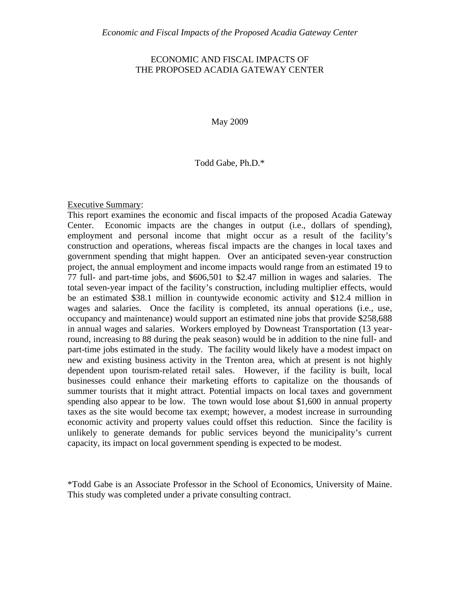# ECONOMIC AND FISCAL IMPACTS OF THE PROPOSED ACADIA GATEWAY CENTER

May 2009

#### Todd Gabe, Ph.D.\*

Executive Summary:

This report examines the economic and fiscal impacts of the proposed Acadia Gateway Center. Economic impacts are the changes in output (i.e., dollars of spending), employment and personal income that might occur as a result of the facility's construction and operations, whereas fiscal impacts are the changes in local taxes and government spending that might happen. Over an anticipated seven-year construction project, the annual employment and income impacts would range from an estimated 19 to 77 full- and part-time jobs, and \$606,501 to \$2.47 million in wages and salaries. The total seven-year impact of the facility's construction, including multiplier effects, would be an estimated \$38.1 million in countywide economic activity and \$12.4 million in wages and salaries. Once the facility is completed, its annual operations (i.e., use, occupancy and maintenance) would support an estimated nine jobs that provide \$258,688 in annual wages and salaries. Workers employed by Downeast Transportation (13 yearround, increasing to 88 during the peak season) would be in addition to the nine full- and part-time jobs estimated in the study. The facility would likely have a modest impact on new and existing business activity in the Trenton area, which at present is not highly dependent upon tourism-related retail sales. However, if the facility is built, local businesses could enhance their marketing efforts to capitalize on the thousands of summer tourists that it might attract. Potential impacts on local taxes and government spending also appear to be low. The town would lose about \$1,600 in annual property taxes as the site would become tax exempt; however, a modest increase in surrounding economic activity and property values could offset this reduction. Since the facility is unlikely to generate demands for public services beyond the municipality's current capacity, its impact on local government spending is expected to be modest.

\*Todd Gabe is an Associate Professor in the School of Economics, University of Maine. This study was completed under a private consulting contract.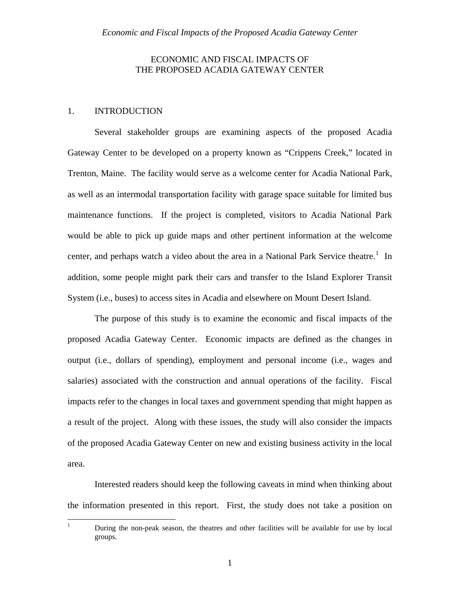# ECONOMIC AND FISCAL IMPACTS OF THE PROPOSED ACADIA GATEWAY CENTER

# 1. INTRODUCTION

Several stakeholder groups are examining aspects of the proposed Acadia Gateway Center to be developed on a property known as "Crippens Creek," located in Trenton, Maine. The facility would serve as a welcome center for Acadia National Park, as well as an intermodal transportation facility with garage space suitable for limited bus maintenance functions. If the project is completed, visitors to Acadia National Park would be able to pick up guide maps and other pertinent information at the welcome center, and perhaps watch a video about the area in a National Park Service theatre.<sup>[1](#page-1-0)</sup> In addition, some people might park their cars and transfer to the Island Explorer Transit System (i.e., buses) to access sites in Acadia and elsewhere on Mount Desert Island.

The purpose of this study is to examine the economic and fiscal impacts of the proposed Acadia Gateway Center. Economic impacts are defined as the changes in output (i.e., dollars of spending), employment and personal income (i.e., wages and salaries) associated with the construction and annual operations of the facility. Fiscal impacts refer to the changes in local taxes and government spending that might happen as a result of the project. Along with these issues, the study will also consider the impacts of the proposed Acadia Gateway Center on new and existing business activity in the local area.

Interested readers should keep the following caveats in mind when thinking about the information presented in this report. First, the study does not take a position on

<span id="page-1-0"></span> $\frac{1}{1}$ 

During the non-peak season, the theatres and other facilities will be available for use by local groups.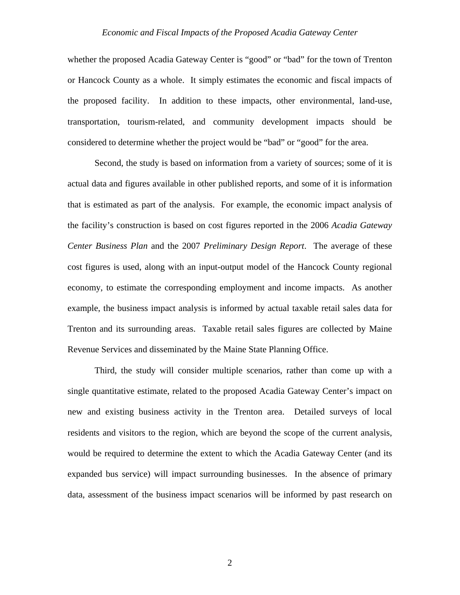whether the proposed Acadia Gateway Center is "good" or "bad" for the town of Trenton or Hancock County as a whole. It simply estimates the economic and fiscal impacts of the proposed facility. In addition to these impacts, other environmental, land-use, transportation, tourism-related, and community development impacts should be considered to determine whether the project would be "bad" or "good" for the area.

Second, the study is based on information from a variety of sources; some of it is actual data and figures available in other published reports, and some of it is information that is estimated as part of the analysis. For example, the economic impact analysis of the facility's construction is based on cost figures reported in the 2006 *Acadia Gateway Center Business Plan* and the 2007 *Preliminary Design Report*. The average of these cost figures is used, along with an input-output model of the Hancock County regional economy, to estimate the corresponding employment and income impacts. As another example, the business impact analysis is informed by actual taxable retail sales data for Trenton and its surrounding areas. Taxable retail sales figures are collected by Maine Revenue Services and disseminated by the Maine State Planning Office.

Third, the study will consider multiple scenarios, rather than come up with a single quantitative estimate, related to the proposed Acadia Gateway Center's impact on new and existing business activity in the Trenton area. Detailed surveys of local residents and visitors to the region, which are beyond the scope of the current analysis, would be required to determine the extent to which the Acadia Gateway Center (and its expanded bus service) will impact surrounding businesses. In the absence of primary data, assessment of the business impact scenarios will be informed by past research on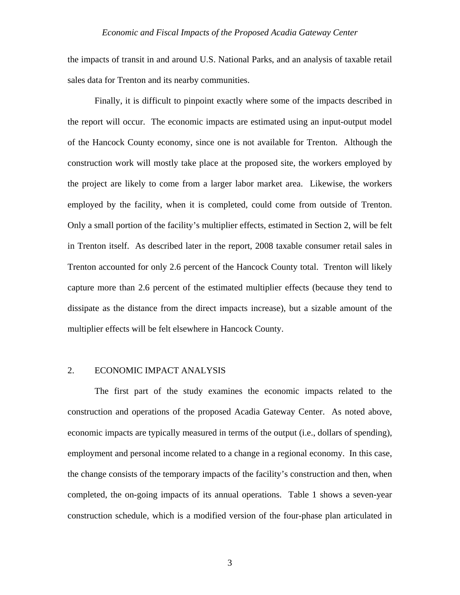the impacts of transit in and around U.S. National Parks, and an analysis of taxable retail sales data for Trenton and its nearby communities.

Finally, it is difficult to pinpoint exactly where some of the impacts described in the report will occur. The economic impacts are estimated using an input-output model of the Hancock County economy, since one is not available for Trenton. Although the construction work will mostly take place at the proposed site, the workers employed by the project are likely to come from a larger labor market area. Likewise, the workers employed by the facility, when it is completed, could come from outside of Trenton. Only a small portion of the facility's multiplier effects, estimated in Section 2, will be felt in Trenton itself. As described later in the report, 2008 taxable consumer retail sales in Trenton accounted for only 2.6 percent of the Hancock County total. Trenton will likely capture more than 2.6 percent of the estimated multiplier effects (because they tend to dissipate as the distance from the direct impacts increase), but a sizable amount of the multiplier effects will be felt elsewhere in Hancock County.

# 2. ECONOMIC IMPACT ANALYSIS

 The first part of the study examines the economic impacts related to the construction and operations of the proposed Acadia Gateway Center. As noted above, economic impacts are typically measured in terms of the output (i.e., dollars of spending), employment and personal income related to a change in a regional economy. In this case, the change consists of the temporary impacts of the facility's construction and then, when completed, the on-going impacts of its annual operations. Table 1 shows a seven-year construction schedule, which is a modified version of the four-phase plan articulated in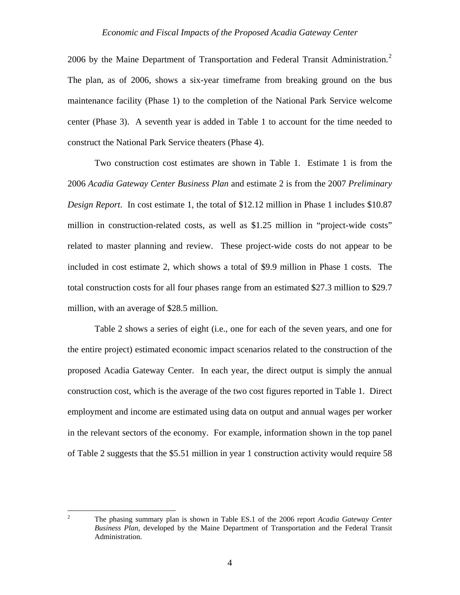[2](#page-4-0)006 by the Maine Department of Transportation and Federal Transit Administration.<sup>2</sup> The plan, as of 2006, shows a six-year timeframe from breaking ground on the bus maintenance facility (Phase 1) to the completion of the National Park Service welcome center (Phase 3). A seventh year is added in Table 1 to account for the time needed to construct the National Park Service theaters (Phase 4).

 Two construction cost estimates are shown in Table 1. Estimate 1 is from the 2006 *Acadia Gateway Center Business Plan* and estimate 2 is from the 2007 *Preliminary Design Report*. In cost estimate 1, the total of \$12.12 million in Phase 1 includes \$10.87 million in construction-related costs, as well as \$1.25 million in "project-wide costs" related to master planning and review. These project-wide costs do not appear to be included in cost estimate 2, which shows a total of \$9.9 million in Phase 1 costs. The total construction costs for all four phases range from an estimated \$27.3 million to \$29.7 million, with an average of \$28.5 million.

 Table 2 shows a series of eight (i.e., one for each of the seven years, and one for the entire project) estimated economic impact scenarios related to the construction of the proposed Acadia Gateway Center. In each year, the direct output is simply the annual construction cost, which is the average of the two cost figures reported in Table 1. Direct employment and income are estimated using data on output and annual wages per worker in the relevant sectors of the economy. For example, information shown in the top panel of Table 2 suggests that the \$5.51 million in year 1 construction activity would require 58

<span id="page-4-0"></span> $\frac{1}{2}$ 

The phasing summary plan is shown in Table ES.1 of the 2006 report *Acadia Gateway Center Business Plan*, developed by the Maine Department of Transportation and the Federal Transit Administration.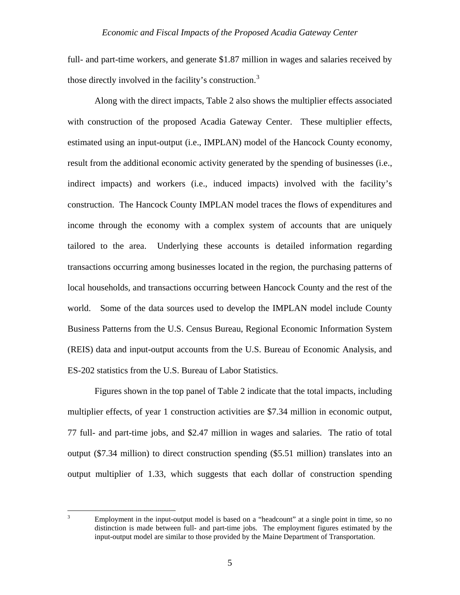<span id="page-5-0"></span>full- and part-time workers, and generate \$1.87 million in wages and salaries received by those directly involved in the facility's construction.<sup>[3](#page-5-0)</sup>

 Along with the direct impacts, Table 2 also shows the multiplier effects associated with construction of the proposed Acadia Gateway Center. These multiplier effects, estimated using an input-output (i.e., IMPLAN) model of the Hancock County economy, result from the additional economic activity generated by the spending of businesses (i.e., indirect impacts) and workers (i.e., induced impacts) involved with the facility's construction. The Hancock County IMPLAN model traces the flows of expenditures and income through the economy with a complex system of accounts that are uniquely tailored to the area. Underlying these accounts is detailed information regarding transactions occurring among businesses located in the region, the purchasing patterns of local households, and transactions occurring between Hancock County and the rest of the world. Some of the data sources used to develop the IMPLAN model include County Business Patterns from the U.S. Census Bureau, Regional Economic Information System (REIS) data and input-output accounts from the U.S. Bureau of Economic Analysis, and ES-202 statistics from the U.S. Bureau of Labor Statistics.

 Figures shown in the top panel of Table 2 indicate that the total impacts, including multiplier effects, of year 1 construction activities are \$7.34 million in economic output, 77 full- and part-time jobs, and \$2.47 million in wages and salaries. The ratio of total output (\$7.34 million) to direct construction spending (\$5.51 million) translates into an output multiplier of 1.33, which suggests that each dollar of construction spending

<sup>2</sup><br>3

Employment in the input-output model is based on a "headcount" at a single point in time, so no distinction is made between full- and part-time jobs. The employment figures estimated by the input-output model are similar to those provided by the Maine Department of Transportation.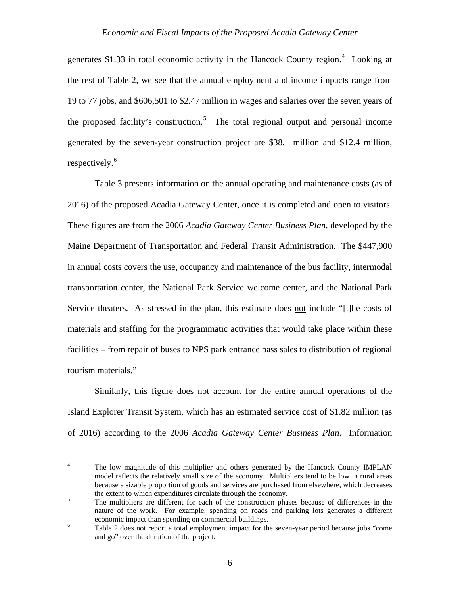<span id="page-6-0"></span>generates \$1.33 in total economic activity in the Hancock County region.<sup>[4](#page-6-0)</sup> Looking at the rest of Table 2, we see that the annual employment and income impacts range from 19 to 77 jobs, and \$606,501 to \$2.47 million in wages and salaries over the seven years of the proposed facility's construction.<sup>[5](#page-6-0)</sup> The total regional output and personal income generated by the seven-year construction project are \$38.1 million and \$12.4 million, respectively.<sup>[6](#page-6-0)</sup>

 Table 3 presents information on the annual operating and maintenance costs (as of 2016) of the proposed Acadia Gateway Center, once it is completed and open to visitors. These figures are from the 2006 *Acadia Gateway Center Business Plan*, developed by the Maine Department of Transportation and Federal Transit Administration. The \$447,900 in annual costs covers the use, occupancy and maintenance of the bus facility, intermodal transportation center, the National Park Service welcome center, and the National Park Service theaters. As stressed in the plan, this estimate does not include "[t]he costs of materials and staffing for the programmatic activities that would take place within these facilities – from repair of buses to NPS park entrance pass sales to distribution of regional tourism materials."

Similarly, this figure does not account for the entire annual operations of the Island Explorer Transit System, which has an estimated service cost of \$1.82 million (as of 2016) according to the 2006 *Acadia Gateway Center Business Plan*. Information

 $\frac{1}{4}$  The low magnitude of this multiplier and others generated by the Hancock County IMPLAN model reflects the relatively small size of the economy. Multipliers tend to be low in rural areas because a sizable proportion of goods and services are purchased from elsewhere, which decreases the extent to which expenditures circulate through the economy.<br>The multipliers are different for each of the construction phase

The multipliers are different for each of the construction phases because of differences in the nature of the work. For example, spending on roads and parking lots generates a different economic impact than spending on commercial buildings.<br>
Table 2 does not report a total employment impact for the

Table 2 does not report a total employment impact for the seven-year period because jobs "come and go" over the duration of the project.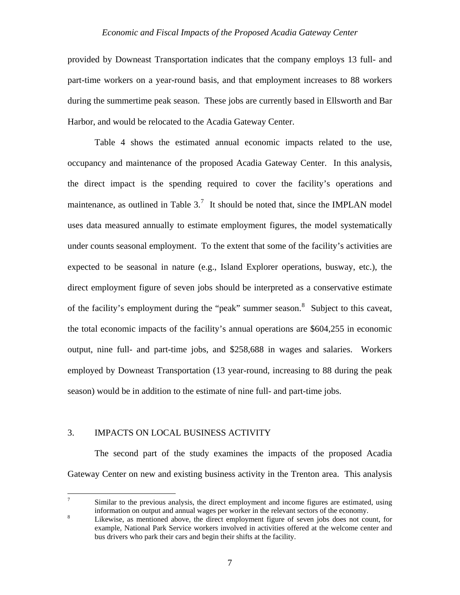<span id="page-7-0"></span>provided by Downeast Transportation indicates that the company employs 13 full- and part-time workers on a year-round basis, and that employment increases to 88 workers during the summertime peak season. These jobs are currently based in Ellsworth and Bar Harbor, and would be relocated to the Acadia Gateway Center.

 Table 4 shows the estimated annual economic impacts related to the use, occupancy and maintenance of the proposed Acadia Gateway Center. In this analysis, the direct impact is the spending required to cover the facility's operations and maintenance, as outlined in Table  $3<sup>7</sup>$  $3<sup>7</sup>$  $3<sup>7</sup>$ . It should be noted that, since the IMPLAN model uses data measured annually to estimate employment figures, the model systematically under counts seasonal employment. To the extent that some of the facility's activities are expected to be seasonal in nature (e.g., Island Explorer operations, busway, etc.), the direct employment figure of seven jobs should be interpreted as a conservative estimate of the facility's employment during the "peak" summer season. <sup>[8](#page-7-0)</sup> Subject to this caveat, the total economic impacts of the facility's annual operations are \$604,255 in economic output, nine full- and part-time jobs, and \$258,688 in wages and salaries. Workers employed by Downeast Transportation (13 year-round, increasing to 88 during the peak season) would be in addition to the estimate of nine full- and part-time jobs.

## 3. IMPACTS ON LOCAL BUSINESS ACTIVITY

 The second part of the study examines the impacts of the proposed Acadia Gateway Center on new and existing business activity in the Trenton area. This analysis

<sup>-&</sup>lt;br>7 Similar to the previous analysis, the direct employment and income figures are estimated, using information on output and annual wages per worker in the relevant sectors of the economy.<br>
I ikovise as montioned above, the direct employment figure of soven ichs does not con-

Likewise, as mentioned above, the direct employment figure of seven jobs does not count, for example, National Park Service workers involved in activities offered at the welcome center and bus drivers who park their cars and begin their shifts at the facility.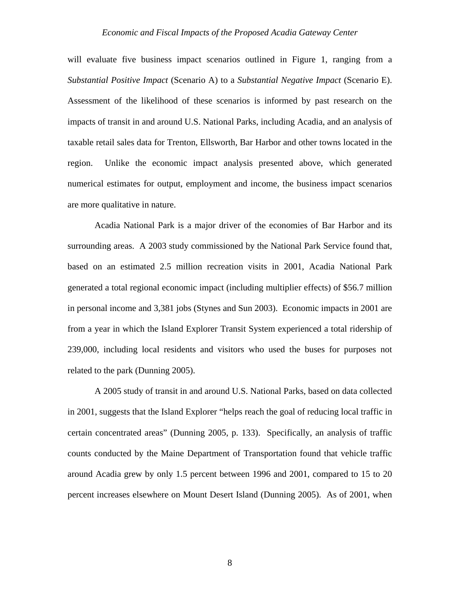will evaluate five business impact scenarios outlined in Figure 1, ranging from a *Substantial Positive Impact* (Scenario A) to a *Substantial Negative Impact* (Scenario E). Assessment of the likelihood of these scenarios is informed by past research on the impacts of transit in and around U.S. National Parks, including Acadia, and an analysis of taxable retail sales data for Trenton, Ellsworth, Bar Harbor and other towns located in the region. Unlike the economic impact analysis presented above, which generated numerical estimates for output, employment and income, the business impact scenarios are more qualitative in nature.

 Acadia National Park is a major driver of the economies of Bar Harbor and its surrounding areas. A 2003 study commissioned by the National Park Service found that, based on an estimated 2.5 million recreation visits in 2001, Acadia National Park generated a total regional economic impact (including multiplier effects) of \$56.7 million in personal income and 3,381 jobs (Stynes and Sun 2003). Economic impacts in 2001 are from a year in which the Island Explorer Transit System experienced a total ridership of 239,000, including local residents and visitors who used the buses for purposes not related to the park (Dunning 2005).

 A 2005 study of transit in and around U.S. National Parks, based on data collected in 2001, suggests that the Island Explorer "helps reach the goal of reducing local traffic in certain concentrated areas" (Dunning 2005, p. 133). Specifically, an analysis of traffic counts conducted by the Maine Department of Transportation found that vehicle traffic around Acadia grew by only 1.5 percent between 1996 and 2001, compared to 15 to 20 percent increases elsewhere on Mount Desert Island (Dunning 2005). As of 2001, when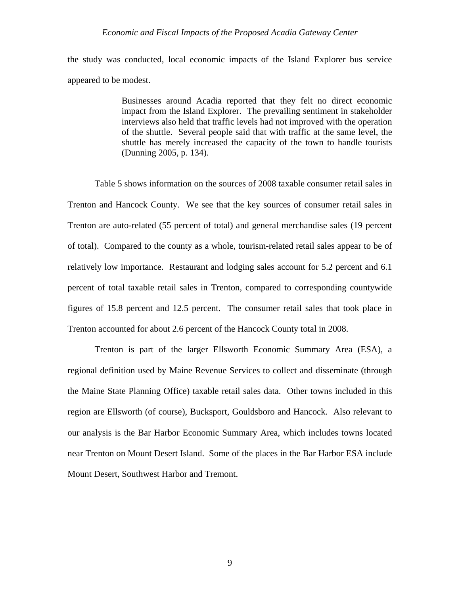the study was conducted, local economic impacts of the Island Explorer bus service appeared to be modest.

> Businesses around Acadia reported that they felt no direct economic impact from the Island Explorer. The prevailing sentiment in stakeholder interviews also held that traffic levels had not improved with the operation of the shuttle. Several people said that with traffic at the same level, the shuttle has merely increased the capacity of the town to handle tourists (Dunning 2005, p. 134).

Table 5 shows information on the sources of 2008 taxable consumer retail sales in Trenton and Hancock County. We see that the key sources of consumer retail sales in Trenton are auto-related (55 percent of total) and general merchandise sales (19 percent of total). Compared to the county as a whole, tourism-related retail sales appear to be of relatively low importance. Restaurant and lodging sales account for 5.2 percent and 6.1 percent of total taxable retail sales in Trenton, compared to corresponding countywide figures of 15.8 percent and 12.5 percent. The consumer retail sales that took place in Trenton accounted for about 2.6 percent of the Hancock County total in 2008.

 Trenton is part of the larger Ellsworth Economic Summary Area (ESA), a regional definition used by Maine Revenue Services to collect and disseminate (through the Maine State Planning Office) taxable retail sales data. Other towns included in this region are Ellsworth (of course), Bucksport, Gouldsboro and Hancock. Also relevant to our analysis is the Bar Harbor Economic Summary Area, which includes towns located near Trenton on Mount Desert Island. Some of the places in the Bar Harbor ESA include Mount Desert, Southwest Harbor and Tremont.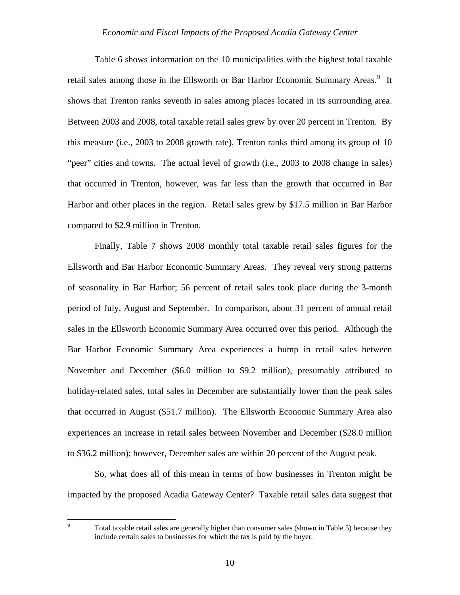<span id="page-10-0"></span>Table 6 shows information on the 10 municipalities with the highest total taxable retail sales among those in the Ellsworth or Bar Harbor Economic Summary Areas.<sup>[9](#page-10-0)</sup> It shows that Trenton ranks seventh in sales among places located in its surrounding area. Between 2003 and 2008, total taxable retail sales grew by over 20 percent in Trenton. By this measure (i.e., 2003 to 2008 growth rate), Trenton ranks third among its group of 10 "peer" cities and towns. The actual level of growth (i.e., 2003 to 2008 change in sales) that occurred in Trenton, however, was far less than the growth that occurred in Bar Harbor and other places in the region. Retail sales grew by \$17.5 million in Bar Harbor compared to \$2.9 million in Trenton.

 Finally, Table 7 shows 2008 monthly total taxable retail sales figures for the Ellsworth and Bar Harbor Economic Summary Areas. They reveal very strong patterns of seasonality in Bar Harbor; 56 percent of retail sales took place during the 3-month period of July, August and September. In comparison, about 31 percent of annual retail sales in the Ellsworth Economic Summary Area occurred over this period. Although the Bar Harbor Economic Summary Area experiences a bump in retail sales between November and December (\$6.0 million to \$9.2 million), presumably attributed to holiday-related sales, total sales in December are substantially lower than the peak sales that occurred in August (\$51.7 million). The Ellsworth Economic Summary Area also experiences an increase in retail sales between November and December (\$28.0 million to \$36.2 million); however, December sales are within 20 percent of the August peak.

 So, what does all of this mean in terms of how businesses in Trenton might be impacted by the proposed Acadia Gateway Center? Taxable retail sales data suggest that

-<br>9

Total taxable retail sales are generally higher than consumer sales (shown in Table 5) because they include certain sales to businesses for which the tax is paid by the buyer.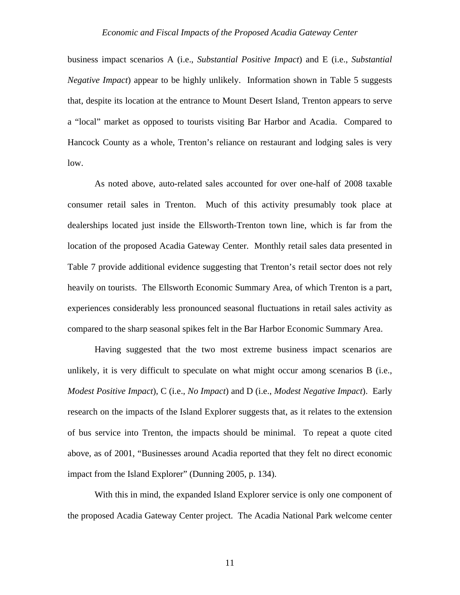business impact scenarios A (i.e., *Substantial Positive Impact*) and E (i.e., *Substantial Negative Impact*) appear to be highly unlikely. Information shown in Table 5 suggests that, despite its location at the entrance to Mount Desert Island, Trenton appears to serve a "local" market as opposed to tourists visiting Bar Harbor and Acadia. Compared to Hancock County as a whole, Trenton's reliance on restaurant and lodging sales is very low.

 As noted above, auto-related sales accounted for over one-half of 2008 taxable consumer retail sales in Trenton. Much of this activity presumably took place at dealerships located just inside the Ellsworth-Trenton town line, which is far from the location of the proposed Acadia Gateway Center. Monthly retail sales data presented in Table 7 provide additional evidence suggesting that Trenton's retail sector does not rely heavily on tourists. The Ellsworth Economic Summary Area, of which Trenton is a part, experiences considerably less pronounced seasonal fluctuations in retail sales activity as compared to the sharp seasonal spikes felt in the Bar Harbor Economic Summary Area.

 Having suggested that the two most extreme business impact scenarios are unlikely, it is very difficult to speculate on what might occur among scenarios B (i.e., *Modest Positive Impact*), C (i.e., *No Impact*) and D (i.e., *Modest Negative Impact*). Early research on the impacts of the Island Explorer suggests that, as it relates to the extension of bus service into Trenton, the impacts should be minimal. To repeat a quote cited above, as of 2001, "Businesses around Acadia reported that they felt no direct economic impact from the Island Explorer" (Dunning 2005, p. 134).

 With this in mind, the expanded Island Explorer service is only one component of the proposed Acadia Gateway Center project. The Acadia National Park welcome center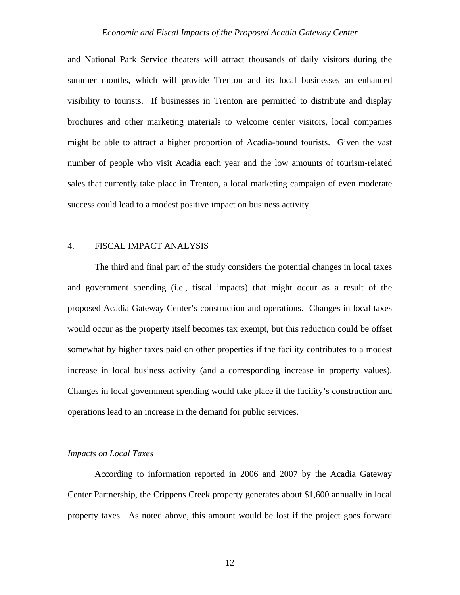and National Park Service theaters will attract thousands of daily visitors during the summer months, which will provide Trenton and its local businesses an enhanced visibility to tourists. If businesses in Trenton are permitted to distribute and display brochures and other marketing materials to welcome center visitors, local companies might be able to attract a higher proportion of Acadia-bound tourists. Given the vast number of people who visit Acadia each year and the low amounts of tourism-related sales that currently take place in Trenton, a local marketing campaign of even moderate success could lead to a modest positive impact on business activity.

# 4. FISCAL IMPACT ANALYSIS

 The third and final part of the study considers the potential changes in local taxes and government spending (i.e., fiscal impacts) that might occur as a result of the proposed Acadia Gateway Center's construction and operations. Changes in local taxes would occur as the property itself becomes tax exempt, but this reduction could be offset somewhat by higher taxes paid on other properties if the facility contributes to a modest increase in local business activity (and a corresponding increase in property values). Changes in local government spending would take place if the facility's construction and operations lead to an increase in the demand for public services.

#### *Impacts on Local Taxes*

 According to information reported in 2006 and 2007 by the Acadia Gateway Center Partnership, the Crippens Creek property generates about \$1,600 annually in local property taxes. As noted above, this amount would be lost if the project goes forward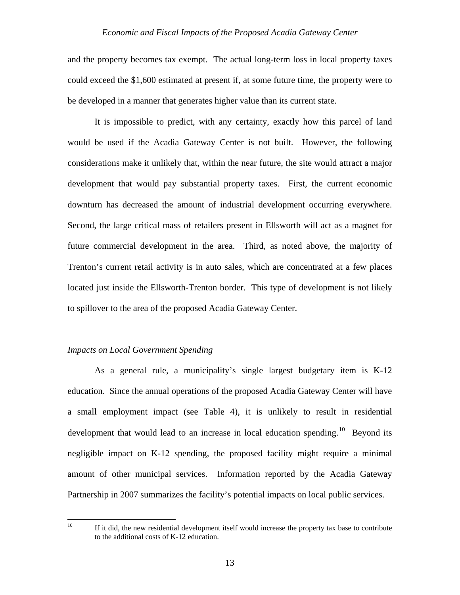<span id="page-13-0"></span>and the property becomes tax exempt. The actual long-term loss in local property taxes could exceed the \$1,600 estimated at present if, at some future time, the property were to be developed in a manner that generates higher value than its current state.

 It is impossible to predict, with any certainty, exactly how this parcel of land would be used if the Acadia Gateway Center is not built. However, the following considerations make it unlikely that, within the near future, the site would attract a major development that would pay substantial property taxes. First, the current economic downturn has decreased the amount of industrial development occurring everywhere. Second, the large critical mass of retailers present in Ellsworth will act as a magnet for future commercial development in the area. Third, as noted above, the majority of Trenton's current retail activity is in auto sales, which are concentrated at a few places located just inside the Ellsworth-Trenton border. This type of development is not likely to spillover to the area of the proposed Acadia Gateway Center.

#### *Impacts on Local Government Spending*

 As a general rule, a municipality's single largest budgetary item is K-12 education. Since the annual operations of the proposed Acadia Gateway Center will have a small employment impact (see Table 4), it is unlikely to result in residential development that would lead to an increase in local education spending.<sup>[10](#page-13-0)</sup> Beyond its negligible impact on K-12 spending, the proposed facility might require a minimal amount of other municipal services. Information reported by the Acadia Gateway Partnership in 2007 summarizes the facility's potential impacts on local public services.

 $10\,$ 

If it did, the new residential development itself would increase the property tax base to contribute to the additional costs of K-12 education.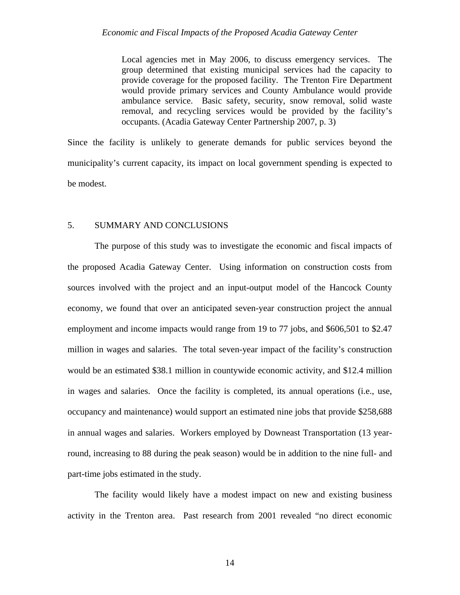Local agencies met in May 2006, to discuss emergency services. The group determined that existing municipal services had the capacity to provide coverage for the proposed facility. The Trenton Fire Department would provide primary services and County Ambulance would provide ambulance service. Basic safety, security, snow removal, solid waste removal, and recycling services would be provided by the facility's occupants. (Acadia Gateway Center Partnership 2007, p. 3)

Since the facility is unlikely to generate demands for public services beyond the municipality's current capacity, its impact on local government spending is expected to be modest.

### 5. SUMMARY AND CONCLUSIONS

 The purpose of this study was to investigate the economic and fiscal impacts of the proposed Acadia Gateway Center. Using information on construction costs from sources involved with the project and an input-output model of the Hancock County economy, we found that over an anticipated seven-year construction project the annual employment and income impacts would range from 19 to 77 jobs, and \$606,501 to \$2.47 million in wages and salaries. The total seven-year impact of the facility's construction would be an estimated \$38.1 million in countywide economic activity, and \$12.4 million in wages and salaries. Once the facility is completed, its annual operations (i.e., use, occupancy and maintenance) would support an estimated nine jobs that provide \$258,688 in annual wages and salaries. Workers employed by Downeast Transportation (13 yearround, increasing to 88 during the peak season) would be in addition to the nine full- and part-time jobs estimated in the study.

 The facility would likely have a modest impact on new and existing business activity in the Trenton area. Past research from 2001 revealed "no direct economic

14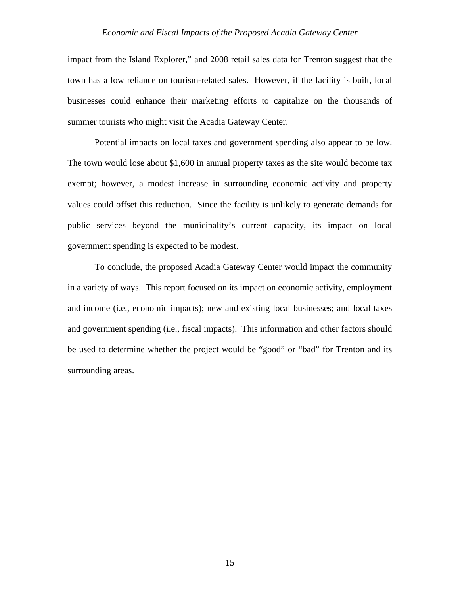impact from the Island Explorer," and 2008 retail sales data for Trenton suggest that the town has a low reliance on tourism-related sales. However, if the facility is built, local businesses could enhance their marketing efforts to capitalize on the thousands of summer tourists who might visit the Acadia Gateway Center.

 Potential impacts on local taxes and government spending also appear to be low. The town would lose about \$1,600 in annual property taxes as the site would become tax exempt; however, a modest increase in surrounding economic activity and property values could offset this reduction. Since the facility is unlikely to generate demands for public services beyond the municipality's current capacity, its impact on local government spending is expected to be modest.

 To conclude, the proposed Acadia Gateway Center would impact the community in a variety of ways. This report focused on its impact on economic activity, employment and income (i.e., economic impacts); new and existing local businesses; and local taxes and government spending (i.e., fiscal impacts). This information and other factors should be used to determine whether the project would be "good" or "bad" for Trenton and its surrounding areas.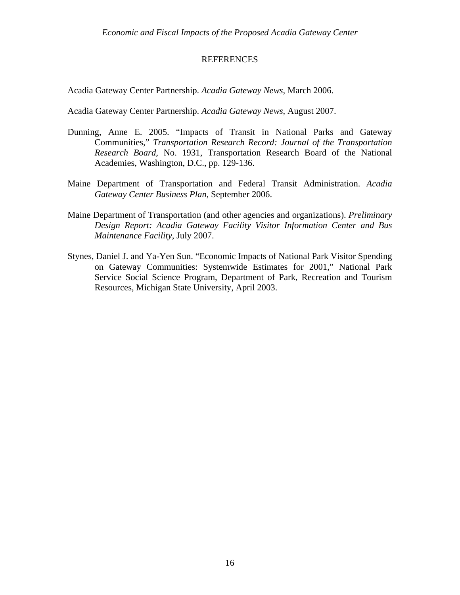# REFERENCES

Acadia Gateway Center Partnership. *Acadia Gateway News*, March 2006.

Acadia Gateway Center Partnership. *Acadia Gateway News*, August 2007.

- Dunning, Anne E. 2005. "Impacts of Transit in National Parks and Gateway Communities," *Transportation Research Record: Journal of the Transportation Research Board*, No. 1931, Transportation Research Board of the National Academies, Washington, D.C., pp. 129-136.
- Maine Department of Transportation and Federal Transit Administration. *Acadia Gateway Center Business Plan*, September 2006.
- Maine Department of Transportation (and other agencies and organizations). *Preliminary Design Report: Acadia Gateway Facility Visitor Information Center and Bus Maintenance Facility*, July 2007.
- Stynes, Daniel J. and Ya-Yen Sun. "Economic Impacts of National Park Visitor Spending on Gateway Communities: Systemwide Estimates for 2001," National Park Service Social Science Program, Department of Park, Recreation and Tourism Resources, Michigan State University, April 2003.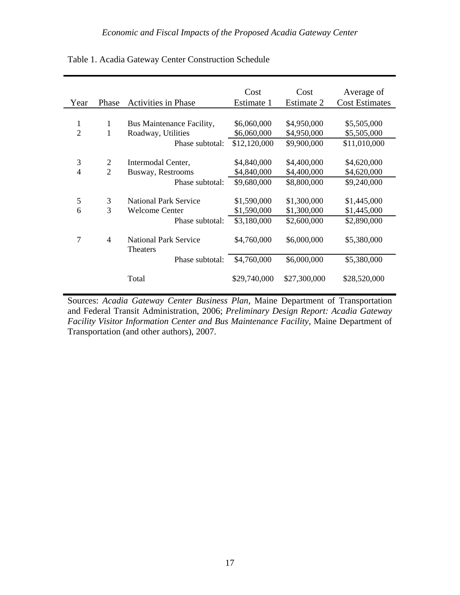|                |                |                                                 | Cost         | Cost         | Average of            |
|----------------|----------------|-------------------------------------------------|--------------|--------------|-----------------------|
| Year           | Phase          | <b>Activities in Phase</b>                      | Estimate 1   | Estimate 2   | <b>Cost Estimates</b> |
|                |                |                                                 |              |              |                       |
| 1              | 1              | Bus Maintenance Facility,                       | \$6,060,000  | \$4,950,000  | \$5,505,000           |
| $\overline{2}$ | 1              | Roadway, Utilities                              | \$6,060,000  | \$4,950,000  | \$5,505,000           |
|                |                | Phase subtotal:                                 | \$12,120,000 | \$9,900,000  | \$11,010,000          |
|                |                |                                                 |              |              |                       |
| 3              | $\overline{2}$ | Intermodal Center,                              | \$4,840,000  | \$4,400,000  | \$4,620,000           |
| $\overline{4}$ | $\overline{2}$ | Busway, Restrooms                               | \$4,840,000  | \$4,400,000  | \$4,620,000           |
|                |                | Phase subtotal:                                 | \$9,680,000  | \$8,800,000  | \$9,240,000           |
|                |                |                                                 |              |              |                       |
| 5              | 3              | <b>National Park Service</b>                    | \$1,590,000  | \$1,300,000  | \$1,445,000           |
| 6              | 3              | Welcome Center                                  | \$1,590,000  | \$1,300,000  | \$1,445,000           |
|                |                | Phase subtotal:                                 | \$3,180,000  | \$2,600,000  | \$2,890,000           |
|                |                |                                                 |              |              |                       |
| 7              | 4              | <b>National Park Service</b><br><b>Theaters</b> | \$4,760,000  | \$6,000,000  | \$5,380,000           |
|                |                | Phase subtotal:                                 | \$4,760,000  | \$6,000,000  | \$5,380,000           |
|                |                |                                                 |              |              |                       |
|                |                | Total                                           | \$29,740,000 | \$27,300,000 | \$28,520,000          |
|                |                |                                                 |              |              |                       |

Table 1. Acadia Gateway Center Construction Schedule

Sources: *Acadia Gateway Center Business Plan*, Maine Department of Transportation and Federal Transit Administration, 2006; *Preliminary Design Report: Acadia Gateway Facility Visitor Information Center and Bus Maintenance Facility*, Maine Department of Transportation (and other authors), 2007.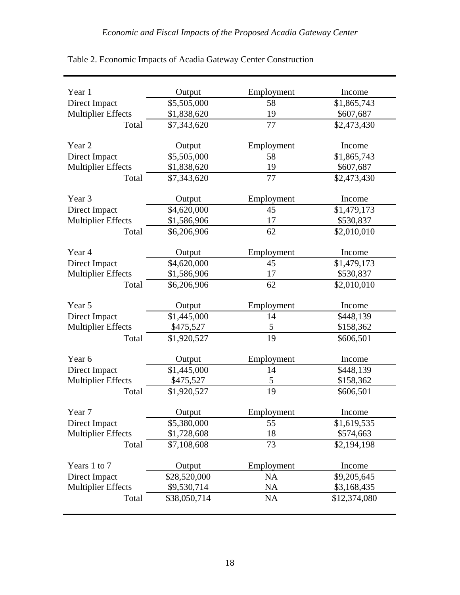| Year 1                    | Output       | Employment | Income       |
|---------------------------|--------------|------------|--------------|
| Direct Impact             | \$5,505,000  | 58         | \$1,865,743  |
| <b>Multiplier Effects</b> | \$1,838,620  | 19         | \$607,687    |
| Total                     | \$7,343,620  | 77         | \$2,473,430  |
|                           |              |            |              |
| Year 2                    | Output       | Employment | Income       |
| Direct Impact             | \$5,505,000  | 58         | \$1,865,743  |
| <b>Multiplier Effects</b> | \$1,838,620  | 19         | \$607,687    |
| Total                     | \$7,343,620  | 77         | \$2,473,430  |
| Year 3                    | Output       | Employment | Income       |
| Direct Impact             | \$4,620,000  | 45         | \$1,479,173  |
| <b>Multiplier Effects</b> | \$1,586,906  | 17         | \$530,837    |
| Total                     | \$6,206,906  | 62         | \$2,010,010  |
|                           |              |            |              |
| Year 4                    | Output       | Employment | Income       |
| Direct Impact             | \$4,620,000  | 45         | \$1,479,173  |
| <b>Multiplier Effects</b> | \$1,586,906  | 17         | \$530,837    |
| Total                     | \$6,206,906  | 62         | \$2,010,010  |
| Year 5                    | Output       | Employment | Income       |
| Direct Impact             | \$1,445,000  | 14         | \$448,139    |
| <b>Multiplier Effects</b> | \$475,527    | 5          | \$158,362    |
| Total                     | \$1,920,527  | 19         | \$606,501    |
|                           |              |            |              |
| Year 6                    | Output       | Employment | Income       |
| Direct Impact             | \$1,445,000  | 14         | \$448,139    |
| <b>Multiplier Effects</b> | \$475,527    | 5          | \$158,362    |
| Total                     | \$1,920,527  | 19         | \$606,501    |
| Year 7                    | Output       | Employment | Income       |
| Direct Impact             | \$5,380,000  | 55         | \$1,619,535  |
| <b>Multiplier Effects</b> | \$1,728,608  | 18         | \$574,663    |
| Total                     | \$7,108,608  | 73         | \$2,194,198  |
|                           |              |            |              |
| Years 1 to 7              | Output       | Employment | Income       |
| Direct Impact             | \$28,520,000 | <b>NA</b>  | \$9,205,645  |
| <b>Multiplier Effects</b> | \$9,530,714  | NA         | \$3,168,435  |
| Total                     | \$38,050,714 | <b>NA</b>  | \$12,374,080 |

| Table 2. Economic Impacts of Acadia Gateway Center Construction |  |  |  |  |  |
|-----------------------------------------------------------------|--|--|--|--|--|
|-----------------------------------------------------------------|--|--|--|--|--|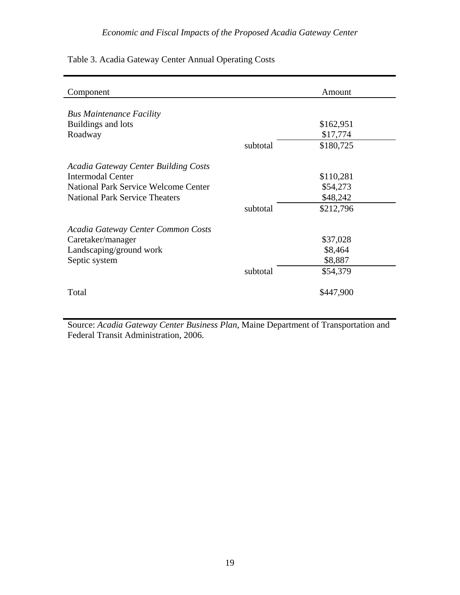| Table 3. Acadia Gateway Center Annual Operating Costs |  |  |  |  |
|-------------------------------------------------------|--|--|--|--|
|-------------------------------------------------------|--|--|--|--|

| Component                                   |          | Amount    |
|---------------------------------------------|----------|-----------|
| <b>Bus Maintenance Facility</b>             |          |           |
| Buildings and lots                          |          | \$162,951 |
| Roadway                                     |          | \$17,774  |
|                                             | subtotal | \$180,725 |
| <b>Acadia Gateway Center Building Costs</b> |          |           |
| Intermodal Center                           |          | \$110,281 |
| <b>National Park Service Welcome Center</b> |          | \$54,273  |
| <b>National Park Service Theaters</b>       |          | \$48,242  |
|                                             | subtotal | \$212,796 |
| Acadia Gateway Center Common Costs          |          |           |
| Caretaker/manager                           |          | \$37,028  |
| Landscaping/ground work                     |          | \$8,464   |
| Septic system                               |          | \$8,887   |
|                                             | subtotal | \$54,379  |
| Total                                       |          | \$447,900 |

Source: *Acadia Gateway Center Business Plan*, Maine Department of Transportation and Federal Transit Administration, 2006.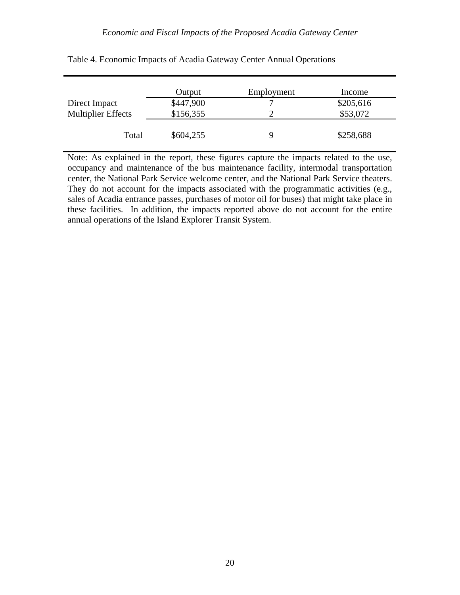|                           | Output    | Employment | Income    |
|---------------------------|-----------|------------|-----------|
| Direct Impact             | \$447,900 |            | \$205,616 |
| <b>Multiplier Effects</b> | \$156,355 |            | \$53,072  |
| Total                     | \$604,255 | 9          | \$258,688 |

| Table 4. Economic Impacts of Acadia Gateway Center Annual Operations |  |  |  |
|----------------------------------------------------------------------|--|--|--|
|----------------------------------------------------------------------|--|--|--|

Note: As explained in the report, these figures capture the impacts related to the use, occupancy and maintenance of the bus maintenance facility, intermodal transportation center, the National Park Service welcome center, and the National Park Service theaters. They do not account for the impacts associated with the programmatic activities (e.g., sales of Acadia entrance passes, purchases of motor oil for buses) that might take place in these facilities. In addition, the impacts reported above do not account for the entire annual operations of the Island Explorer Transit System.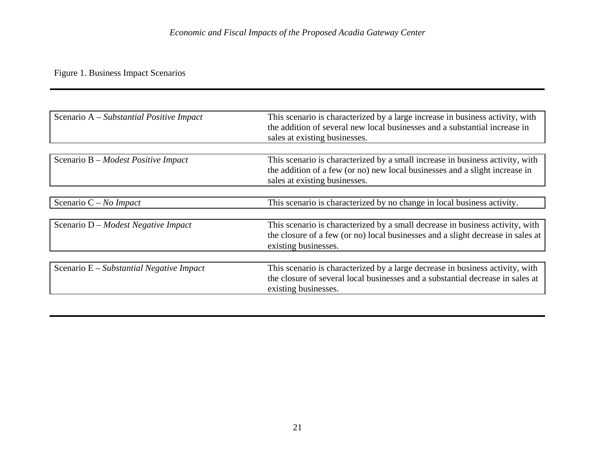# Figure 1. Business Impact Scenarios

| This scenario is characterized by a large increase in business activity, with<br>the addition of several new local businesses and a substantial increase in<br>sales at existing businesses.  |
|-----------------------------------------------------------------------------------------------------------------------------------------------------------------------------------------------|
|                                                                                                                                                                                               |
| This scenario is characterized by a small increase in business activity, with<br>the addition of a few (or no) new local businesses and a slight increase in<br>sales at existing businesses. |
|                                                                                                                                                                                               |
| This scenario is characterized by no change in local business activity.                                                                                                                       |
|                                                                                                                                                                                               |
| This scenario is characterized by a small decrease in business activity, with<br>the closure of a few (or no) local businesses and a slight decrease in sales at<br>existing businesses.      |
|                                                                                                                                                                                               |
| This scenario is characterized by a large decrease in business activity, with<br>the closure of several local businesses and a substantial decrease in sales at<br>existing businesses.       |
|                                                                                                                                                                                               |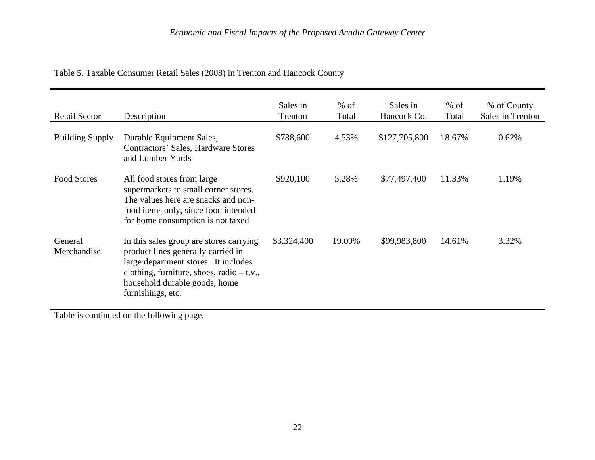| <b>Retail Sector</b>   | Description                                                                                                                                                                                                                | Sales in<br>Trenton | $%$ of<br>Total | Sales in<br>Hancock Co. | $%$ of<br>Total | % of County<br>Sales in Trenton |
|------------------------|----------------------------------------------------------------------------------------------------------------------------------------------------------------------------------------------------------------------------|---------------------|-----------------|-------------------------|-----------------|---------------------------------|
| <b>Building Supply</b> | Durable Equipment Sales,<br>Contractors' Sales, Hardware Stores<br>and Lumber Yards                                                                                                                                        | \$788,600           | 4.53%           | \$127,705,800           | 18.67%          | 0.62%                           |
| <b>Food Stores</b>     | All food stores from large<br>supermarkets to small corner stores.<br>The values here are snacks and non-<br>food items only, since food intended<br>for home consumption is not taxed                                     | \$920,100           | 5.28%           | \$77,497,400            | 11.33%          | 1.19%                           |
| General<br>Merchandise | In this sales group are stores carrying<br>product lines generally carried in<br>large department stores. It includes<br>clothing, furniture, shoes, radio $- t.v.,$<br>household durable goods, home<br>furnishings, etc. | \$3,324,400         | 19.09%          | \$99,983,800            | 14.61%          | 3.32%                           |

# Table 5. Taxable Consumer Retail Sales (2008) in Trenton and Hancock County

Table is continued on the following page.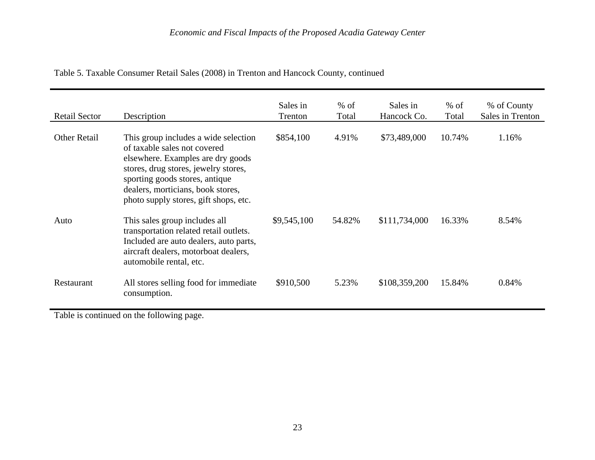| Retail Sector       | Description                                                                                                                                                                                                                                                       | Sales in<br>Trenton | $%$ of<br>Total | Sales in<br>Hancock Co. | $%$ of<br>Total | % of County<br>Sales in Trenton |
|---------------------|-------------------------------------------------------------------------------------------------------------------------------------------------------------------------------------------------------------------------------------------------------------------|---------------------|-----------------|-------------------------|-----------------|---------------------------------|
| <b>Other Retail</b> | This group includes a wide selection<br>of taxable sales not covered<br>elsewhere. Examples are dry goods<br>stores, drug stores, jewelry stores,<br>sporting goods stores, antique<br>dealers, morticians, book stores,<br>photo supply stores, gift shops, etc. | \$854,100           | 4.91%           | \$73,489,000            | 10.74%          | 1.16%                           |
| Auto                | This sales group includes all<br>transportation related retail outlets.<br>Included are auto dealers, auto parts,<br>aircraft dealers, motorboat dealers,<br>automobile rental, etc.                                                                              | \$9,545,100         | 54.82%          | \$111,734,000           | 16.33%          | 8.54%                           |
| Restaurant          | All stores selling food for immediate<br>consumption.                                                                                                                                                                                                             | \$910,500           | 5.23%           | \$108,359,200           | 15.84%          | 0.84%                           |

Table 5. Taxable Consumer Retail Sales (2008) in Trenton and Hancock County, continued

Table is continued on the following page.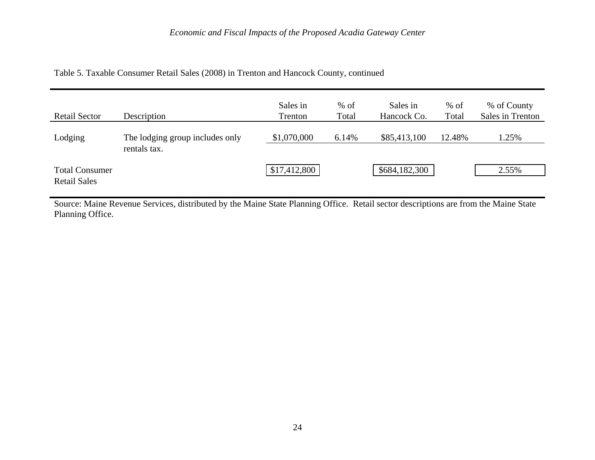| Table 5. Taxable Consumer Retail Sales (2008) in Trenton and Hancock County, continued |  |  |  |  |  |
|----------------------------------------------------------------------------------------|--|--|--|--|--|
|----------------------------------------------------------------------------------------|--|--|--|--|--|

| <b>Retail Sector</b>                         | Description                                     | Sales in<br>Trenton | $%$ of<br>Total | Sales in<br>Hancock Co. | $%$ of<br>Total | % of County<br>Sales in Trenton |
|----------------------------------------------|-------------------------------------------------|---------------------|-----------------|-------------------------|-----------------|---------------------------------|
| Lodging                                      | The lodging group includes only<br>rentals tax. | \$1,070,000         | 6.14%           | \$85,413,100            | 12.48%          | 1.25%                           |
| <b>Total Consumer</b><br><b>Retail Sales</b> |                                                 | \$17,412,800        |                 | \$684,182,300           |                 | 2.55%                           |

Source: Maine Revenue Services, distributed by the Maine State Planning Office. Retail sector descriptions are from the Maine State Planning Office.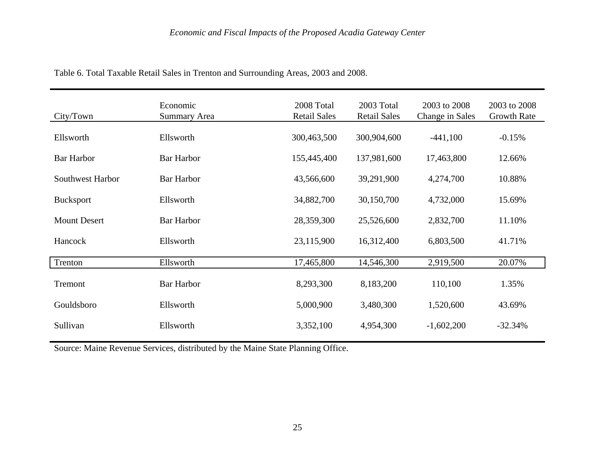| City/Town               | Economic<br><b>Summary Area</b> | 2008 Total<br><b>Retail Sales</b> | 2003 Total<br><b>Retail Sales</b> | 2003 to 2008<br>Change in Sales | 2003 to 2008<br><b>Growth Rate</b> |
|-------------------------|---------------------------------|-----------------------------------|-----------------------------------|---------------------------------|------------------------------------|
| Ellsworth               | Ellsworth                       | 300,463,500                       | 300,904,600                       | $-441,100$                      | $-0.15%$                           |
| <b>Bar Harbor</b>       | <b>Bar Harbor</b>               | 155,445,400                       | 137,981,600                       | 17,463,800                      | 12.66%                             |
| <b>Southwest Harbor</b> | <b>Bar Harbor</b>               | 43,566,600                        | 39,291,900                        | 4,274,700                       | 10.88%                             |
| <b>Bucksport</b>        | Ellsworth                       | 34,882,700                        | 30,150,700                        | 4,732,000                       | 15.69%                             |
| <b>Mount Desert</b>     | <b>Bar Harbor</b>               | 28,359,300                        | 25,526,600                        | 2,832,700                       | 11.10%                             |
| Hancock                 | Ellsworth                       | 23,115,900                        | 16,312,400                        | 6,803,500                       | 41.71%                             |
| Trenton                 | Ellsworth                       | 17,465,800                        | 14,546,300                        | 2,919,500                       | 20.07%                             |
| Tremont                 | <b>Bar Harbor</b>               | 8,293,300                         | 8,183,200                         | 110,100                         | 1.35%                              |
| Gouldsboro              | Ellsworth                       | 5,000,900                         | 3,480,300                         | 1,520,600                       | 43.69%                             |
| Sullivan                | Ellsworth                       | 3,352,100                         | 4,954,300                         | $-1,602,200$                    | $-32.34%$                          |

Table 6. Total Taxable Retail Sales in Trenton and Surrounding Areas, 2003 and 2008.

Source: Maine Revenue Services, distributed by the Maine State Planning Office.